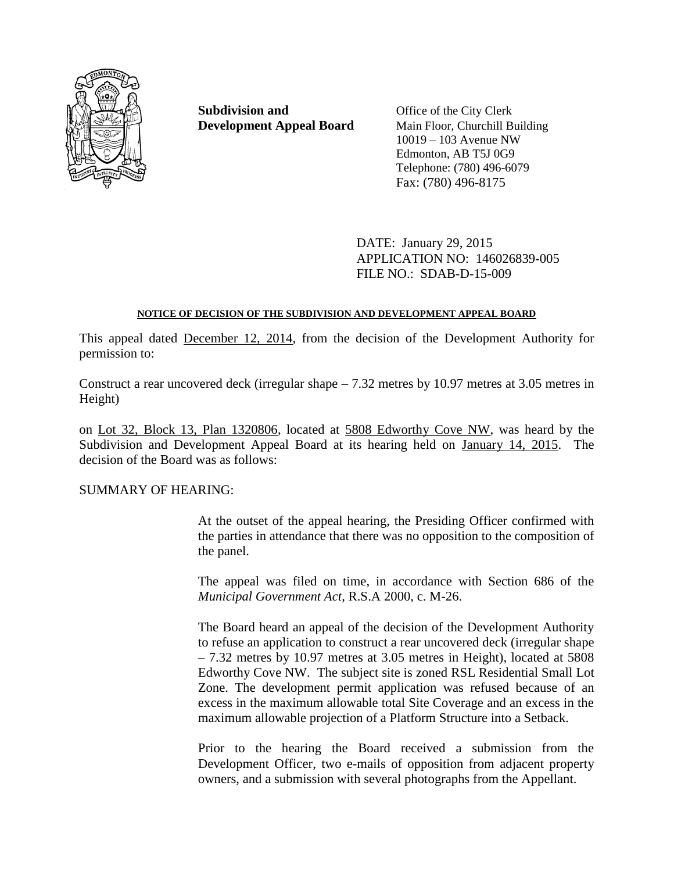

**Subdivision and** Office of the City Clerk **Development Appeal Board** Main Floor, Churchill Building

10019 – 103 Avenue NW Edmonton, AB T5J 0G9 Telephone: (780) 496-6079 Fax: (780) 496-8175

DATE: January 29, 2015 APPLICATION NO: 146026839-005 FILE NO.: SDAB-D-15-009

# **NOTICE OF DECISION OF THE SUBDIVISION AND DEVELOPMENT APPEAL BOARD**

This appeal dated December 12, 2014, from the decision of the Development Authority for permission to:

Construct a rear uncovered deck (irregular shape  $-7.32$  metres by 10.97 metres at 3.05 metres in Height)

on Lot 32, Block 13, Plan 1320806, located at 5808 Edworthy Cove NW, was heard by the Subdivision and Development Appeal Board at its hearing held on January 14, 2015. The decision of the Board was as follows:

SUMMARY OF HEARING:

At the outset of the appeal hearing, the Presiding Officer confirmed with the parties in attendance that there was no opposition to the composition of the panel.

The appeal was filed on time, in accordance with Section 686 of the *Municipal Government Act*, R.S.A 2000, c. M-26.

The Board heard an appeal of the decision of the Development Authority to refuse an application to construct a rear uncovered deck (irregular shape – 7.32 metres by 10.97 metres at 3.05 metres in Height), located at 5808 Edworthy Cove NW. The subject site is zoned RSL Residential Small Lot Zone. The development permit application was refused because of an excess in the maximum allowable total Site Coverage and an excess in the maximum allowable projection of a Platform Structure into a Setback.

Prior to the hearing the Board received a submission from the Development Officer, two e-mails of opposition from adjacent property owners, and a submission with several photographs from the Appellant.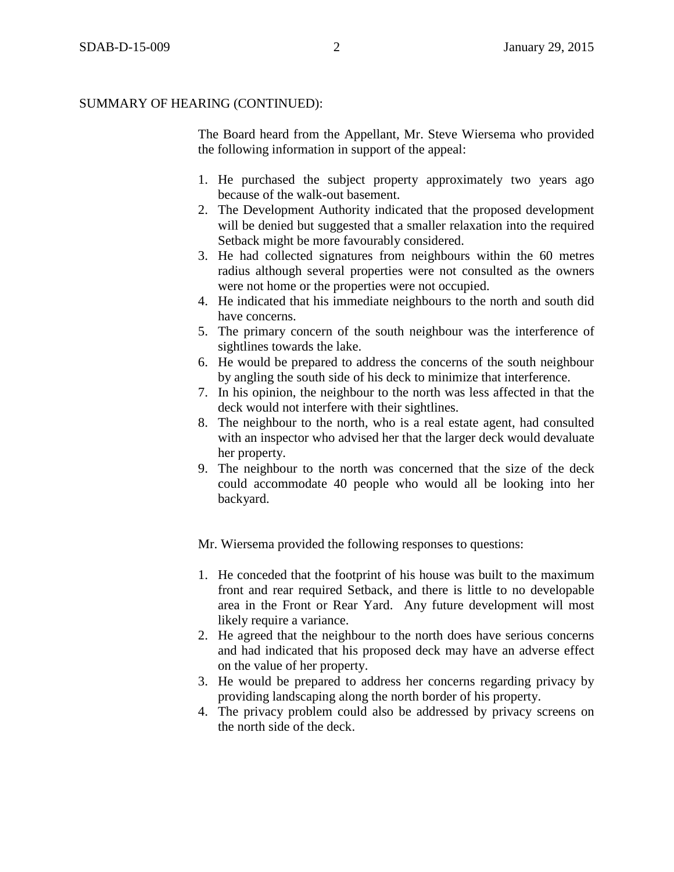The Board heard from the Appellant, Mr. Steve Wiersema who provided the following information in support of the appeal:

- 1. He purchased the subject property approximately two years ago because of the walk-out basement.
- 2. The Development Authority indicated that the proposed development will be denied but suggested that a smaller relaxation into the required Setback might be more favourably considered.
- 3. He had collected signatures from neighbours within the 60 metres radius although several properties were not consulted as the owners were not home or the properties were not occupied.
- 4. He indicated that his immediate neighbours to the north and south did have concerns.
- 5. The primary concern of the south neighbour was the interference of sightlines towards the lake.
- 6. He would be prepared to address the concerns of the south neighbour by angling the south side of his deck to minimize that interference.
- 7. In his opinion, the neighbour to the north was less affected in that the deck would not interfere with their sightlines.
- 8. The neighbour to the north, who is a real estate agent, had consulted with an inspector who advised her that the larger deck would devaluate her property.
- 9. The neighbour to the north was concerned that the size of the deck could accommodate 40 people who would all be looking into her backyard.

Mr. Wiersema provided the following responses to questions:

- 1. He conceded that the footprint of his house was built to the maximum front and rear required Setback, and there is little to no developable area in the Front or Rear Yard. Any future development will most likely require a variance.
- 2. He agreed that the neighbour to the north does have serious concerns and had indicated that his proposed deck may have an adverse effect on the value of her property.
- 3. He would be prepared to address her concerns regarding privacy by providing landscaping along the north border of his property.
- 4. The privacy problem could also be addressed by privacy screens on the north side of the deck.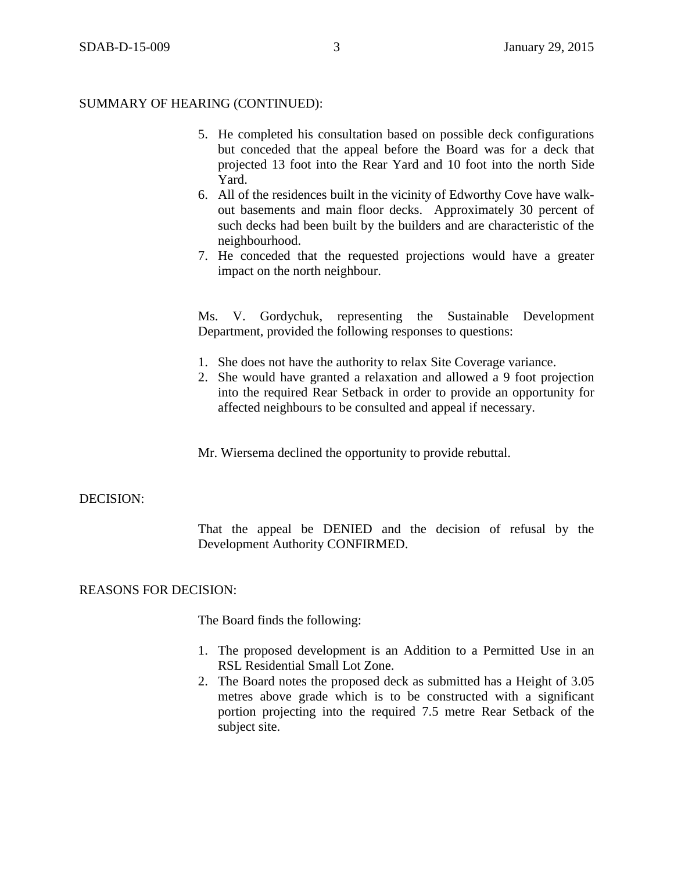- 5. He completed his consultation based on possible deck configurations but conceded that the appeal before the Board was for a deck that projected 13 foot into the Rear Yard and 10 foot into the north Side Yard.
- 6. All of the residences built in the vicinity of Edworthy Cove have walkout basements and main floor decks. Approximately 30 percent of such decks had been built by the builders and are characteristic of the neighbourhood.
- 7. He conceded that the requested projections would have a greater impact on the north neighbour.

Ms. V. Gordychuk, representing the Sustainable Development Department, provided the following responses to questions:

- 1. She does not have the authority to relax Site Coverage variance.
- 2. She would have granted a relaxation and allowed a 9 foot projection into the required Rear Setback in order to provide an opportunity for affected neighbours to be consulted and appeal if necessary.

Mr. Wiersema declined the opportunity to provide rebuttal.

### DECISION:

That the appeal be DENIED and the decision of refusal by the Development Authority CONFIRMED.

### REASONS FOR DECISION:

The Board finds the following:

- 1. The proposed development is an Addition to a Permitted Use in an RSL Residential Small Lot Zone.
- 2. The Board notes the proposed deck as submitted has a Height of 3.05 metres above grade which is to be constructed with a significant portion projecting into the required 7.5 metre Rear Setback of the subject site.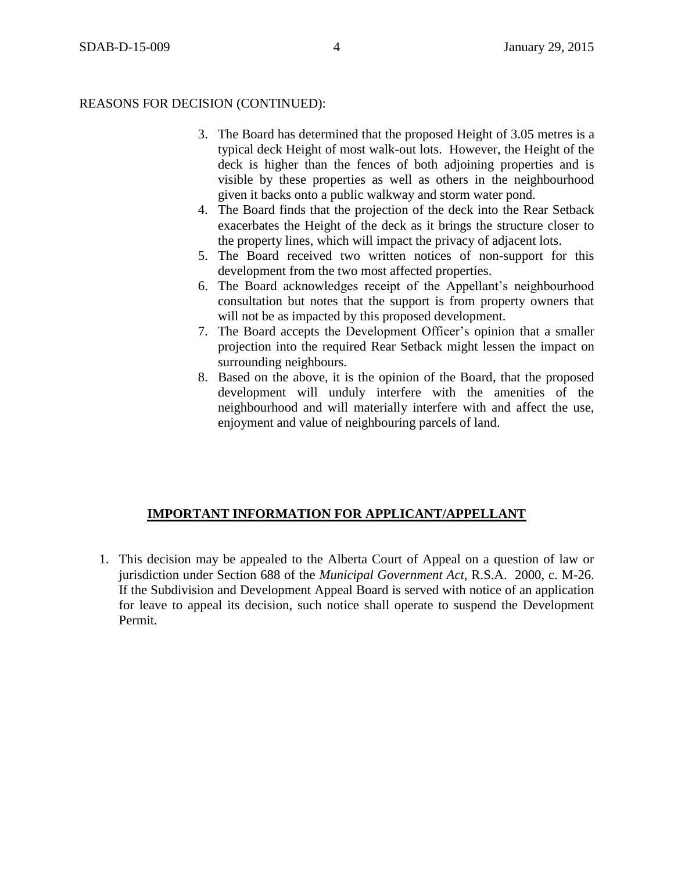## REASONS FOR DECISION (CONTINUED):

- 3. The Board has determined that the proposed Height of 3.05 metres is a typical deck Height of most walk-out lots. However, the Height of the deck is higher than the fences of both adjoining properties and is visible by these properties as well as others in the neighbourhood given it backs onto a public walkway and storm water pond.
- 4. The Board finds that the projection of the deck into the Rear Setback exacerbates the Height of the deck as it brings the structure closer to the property lines, which will impact the privacy of adjacent lots.
- 5. The Board received two written notices of non-support for this development from the two most affected properties.
- 6. The Board acknowledges receipt of the Appellant's neighbourhood consultation but notes that the support is from property owners that will not be as impacted by this proposed development.
- 7. The Board accepts the Development Officer's opinion that a smaller projection into the required Rear Setback might lessen the impact on surrounding neighbours.
- 8. Based on the above, it is the opinion of the Board, that the proposed development will unduly interfere with the amenities of the neighbourhood and will materially interfere with and affect the use, enjoyment and value of neighbouring parcels of land.

# **IMPORTANT INFORMATION FOR APPLICANT/APPELLANT**

1. This decision may be appealed to the Alberta Court of Appeal on a question of law or jurisdiction under Section 688 of the *Municipal Government Act*, R.S.A. 2000, c. M-26. If the Subdivision and Development Appeal Board is served with notice of an application for leave to appeal its decision, such notice shall operate to suspend the Development Permit.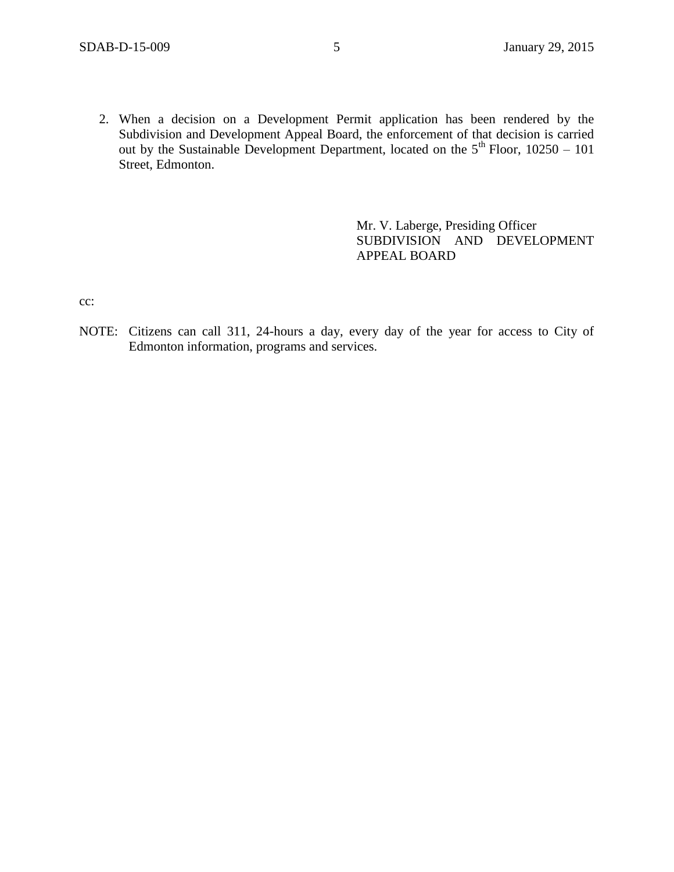2. When a decision on a Development Permit application has been rendered by the Subdivision and Development Appeal Board, the enforcement of that decision is carried out by the Sustainable Development Department, located on the  $5<sup>th</sup>$  Floor, 10250 – 101 Street, Edmonton.

> Mr. V. Laberge, Presiding Officer SUBDIVISION AND DEVELOPMENT APPEAL BOARD

cc:

NOTE: Citizens can call 311, 24-hours a day, every day of the year for access to City of Edmonton information, programs and services.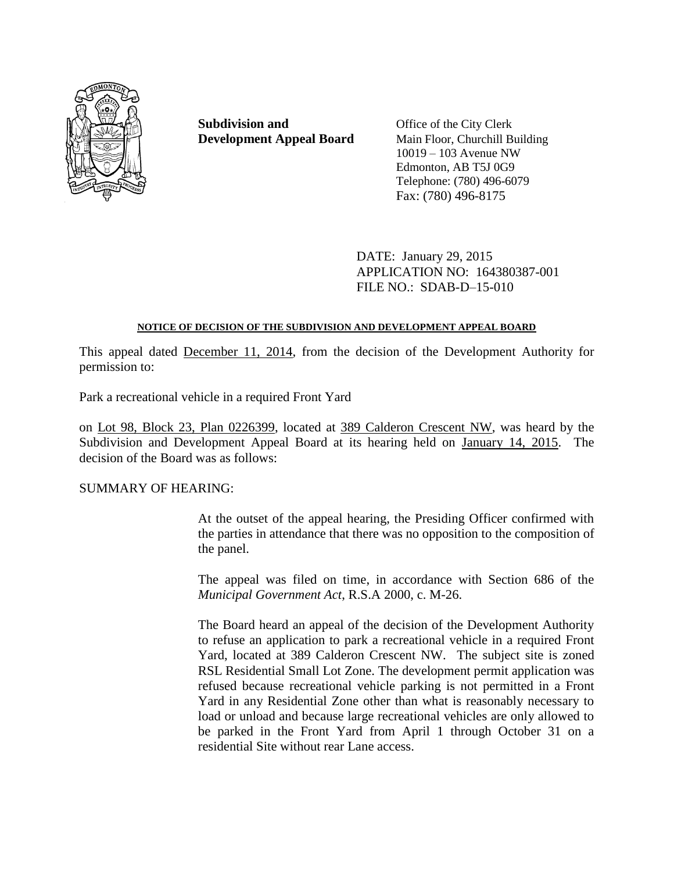

**Subdivision and** Office of the City Clerk **Development Appeal Board** Main Floor, Churchill Building

10019 – 103 Avenue NW Edmonton, AB T5J 0G9 Telephone: (780) 496-6079 Fax: (780) 496-8175

DATE: January 29, 2015 APPLICATION NO: 164380387-001 FILE NO.: SDAB-D–15-010

## **NOTICE OF DECISION OF THE SUBDIVISION AND DEVELOPMENT APPEAL BOARD**

This appeal dated December 11, 2014, from the decision of the Development Authority for permission to:

Park a recreational vehicle in a required Front Yard

on Lot 98, Block 23, Plan 0226399, located at 389 Calderon Crescent NW, was heard by the Subdivision and Development Appeal Board at its hearing held on January 14, 2015. The decision of the Board was as follows:

# SUMMARY OF HEARING:

At the outset of the appeal hearing, the Presiding Officer confirmed with the parties in attendance that there was no opposition to the composition of the panel.

The appeal was filed on time, in accordance with Section 686 of the *Municipal Government Act*, R.S.A 2000, c. M-26.

The Board heard an appeal of the decision of the Development Authority to refuse an application to park a recreational vehicle in a required Front Yard, located at 389 Calderon Crescent NW. The subject site is zoned RSL Residential Small Lot Zone. The development permit application was refused because recreational vehicle parking is not permitted in a Front Yard in any Residential Zone other than what is reasonably necessary to load or unload and because large recreational vehicles are only allowed to be parked in the Front Yard from April 1 through October 31 on a residential Site without rear Lane access.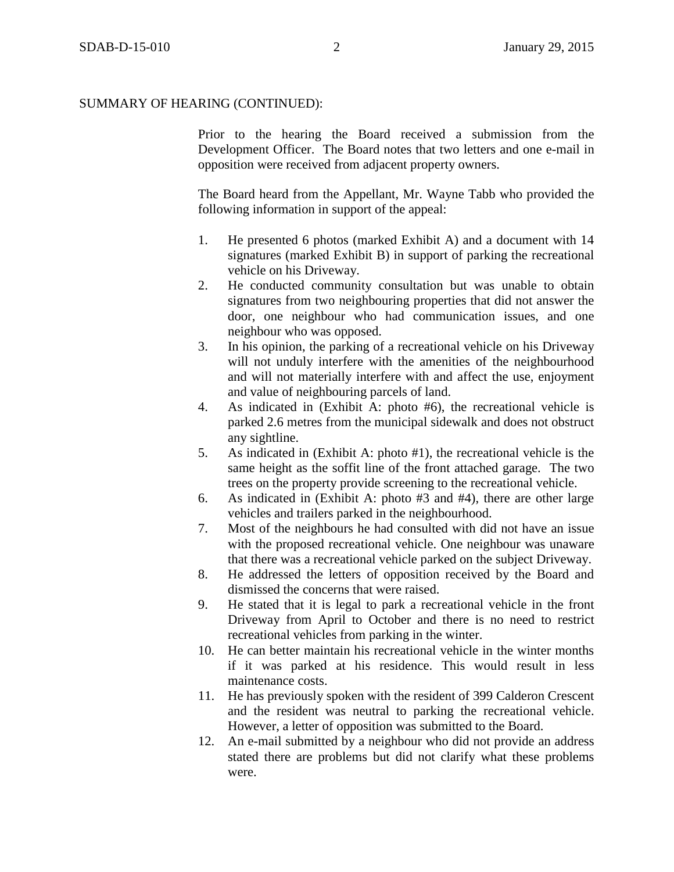Prior to the hearing the Board received a submission from the Development Officer. The Board notes that two letters and one e-mail in opposition were received from adjacent property owners.

The Board heard from the Appellant, Mr. Wayne Tabb who provided the following information in support of the appeal:

- 1. He presented 6 photos (marked Exhibit A) and a document with 14 signatures (marked Exhibit B) in support of parking the recreational vehicle on his Driveway.
- 2. He conducted community consultation but was unable to obtain signatures from two neighbouring properties that did not answer the door, one neighbour who had communication issues, and one neighbour who was opposed.
- 3. In his opinion, the parking of a recreational vehicle on his Driveway will not unduly interfere with the amenities of the neighbourhood and will not materially interfere with and affect the use, enjoyment and value of neighbouring parcels of land.
- 4. As indicated in (Exhibit A: photo #6), the recreational vehicle is parked 2.6 metres from the municipal sidewalk and does not obstruct any sightline.
- 5. As indicated in (Exhibit A: photo #1), the recreational vehicle is the same height as the soffit line of the front attached garage. The two trees on the property provide screening to the recreational vehicle.
- 6. As indicated in (Exhibit A: photo #3 and #4), there are other large vehicles and trailers parked in the neighbourhood.
- 7. Most of the neighbours he had consulted with did not have an issue with the proposed recreational vehicle. One neighbour was unaware that there was a recreational vehicle parked on the subject Driveway.
- 8. He addressed the letters of opposition received by the Board and dismissed the concerns that were raised.
- 9. He stated that it is legal to park a recreational vehicle in the front Driveway from April to October and there is no need to restrict recreational vehicles from parking in the winter.
- 10. He can better maintain his recreational vehicle in the winter months if it was parked at his residence. This would result in less maintenance costs.
- 11. He has previously spoken with the resident of 399 Calderon Crescent and the resident was neutral to parking the recreational vehicle. However, a letter of opposition was submitted to the Board.
- 12. An e-mail submitted by a neighbour who did not provide an address stated there are problems but did not clarify what these problems were.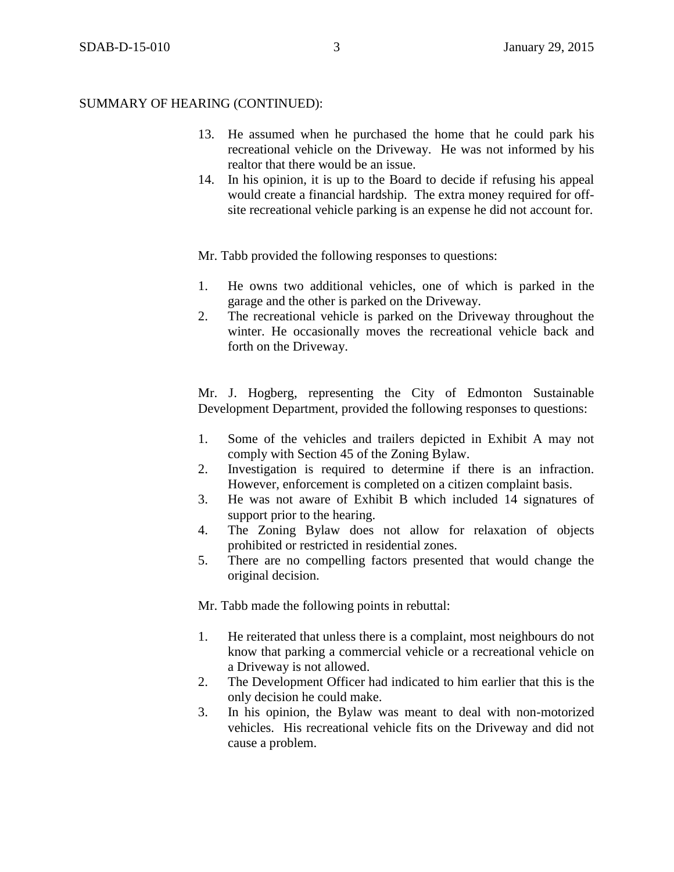- 13. He assumed when he purchased the home that he could park his recreational vehicle on the Driveway. He was not informed by his realtor that there would be an issue.
- 14. In his opinion, it is up to the Board to decide if refusing his appeal would create a financial hardship. The extra money required for offsite recreational vehicle parking is an expense he did not account for.

Mr. Tabb provided the following responses to questions:

- 1. He owns two additional vehicles, one of which is parked in the garage and the other is parked on the Driveway.
- 2. The recreational vehicle is parked on the Driveway throughout the winter. He occasionally moves the recreational vehicle back and forth on the Driveway.

Mr. J. Hogberg, representing the City of Edmonton Sustainable Development Department, provided the following responses to questions:

- 1. Some of the vehicles and trailers depicted in Exhibit A may not comply with Section 45 of the Zoning Bylaw.
- 2. Investigation is required to determine if there is an infraction. However, enforcement is completed on a citizen complaint basis.
- 3. He was not aware of Exhibit B which included 14 signatures of support prior to the hearing.
- 4. The Zoning Bylaw does not allow for relaxation of objects prohibited or restricted in residential zones.
- 5. There are no compelling factors presented that would change the original decision.

Mr. Tabb made the following points in rebuttal:

- 1. He reiterated that unless there is a complaint, most neighbours do not know that parking a commercial vehicle or a recreational vehicle on a Driveway is not allowed.
- 2. The Development Officer had indicated to him earlier that this is the only decision he could make.
- 3. In his opinion, the Bylaw was meant to deal with non-motorized vehicles. His recreational vehicle fits on the Driveway and did not cause a problem.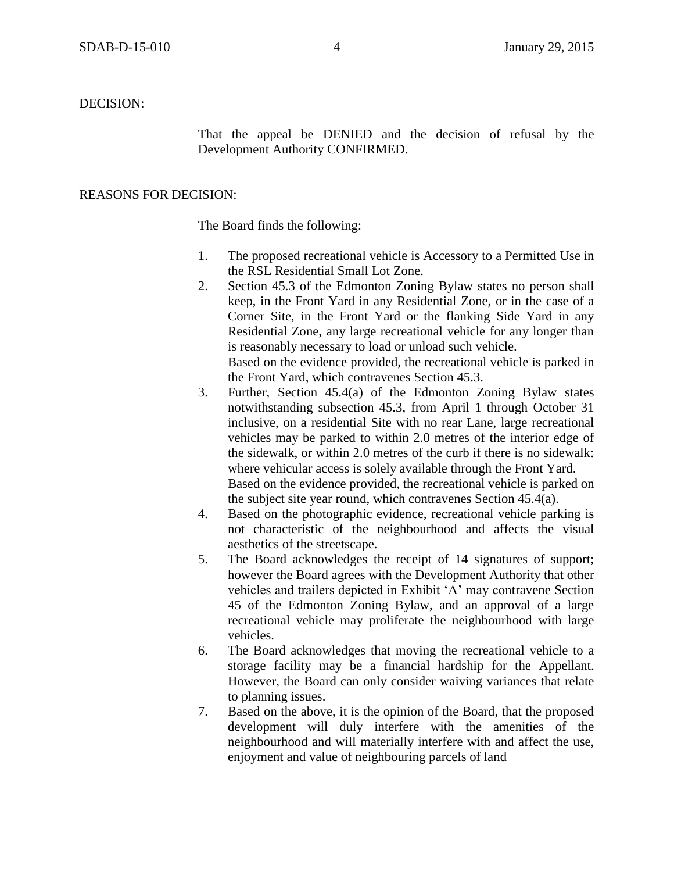DECISION:

That the appeal be DENIED and the decision of refusal by the Development Authority CONFIRMED.

#### REASONS FOR DECISION:

The Board finds the following:

- 1. The proposed recreational vehicle is Accessory to a Permitted Use in the RSL Residential Small Lot Zone.
- 2. Section 45.3 of the Edmonton Zoning Bylaw states no person shall keep, in the Front Yard in any Residential Zone, or in the case of a Corner Site, in the Front Yard or the flanking Side Yard in any Residential Zone, any large recreational vehicle for any longer than is reasonably necessary to load or unload such vehicle. Based on the evidence provided, the recreational vehicle is parked in

the Front Yard, which contravenes Section 45.3.

- 3. Further, Section 45.4(a) of the Edmonton Zoning Bylaw states notwithstanding subsection 45.3, from April 1 through October 31 inclusive, on a residential Site with no rear Lane, large recreational vehicles may be parked to within 2.0 metres of the interior edge of the sidewalk, or within 2.0 metres of the curb if there is no sidewalk: where vehicular access is solely available through the Front Yard. Based on the evidence provided, the recreational vehicle is parked on the subject site year round, which contravenes Section 45.4(a).
- 4. Based on the photographic evidence, recreational vehicle parking is not characteristic of the neighbourhood and affects the visual aesthetics of the streetscape.
- 5. The Board acknowledges the receipt of 14 signatures of support; however the Board agrees with the Development Authority that other vehicles and trailers depicted in Exhibit 'A' may contravene Section 45 of the Edmonton Zoning Bylaw, and an approval of a large recreational vehicle may proliferate the neighbourhood with large vehicles.
- 6. The Board acknowledges that moving the recreational vehicle to a storage facility may be a financial hardship for the Appellant. However, the Board can only consider waiving variances that relate to planning issues.
- 7. Based on the above, it is the opinion of the Board, that the proposed development will duly interfere with the amenities of the neighbourhood and will materially interfere with and affect the use, enjoyment and value of neighbouring parcels of land